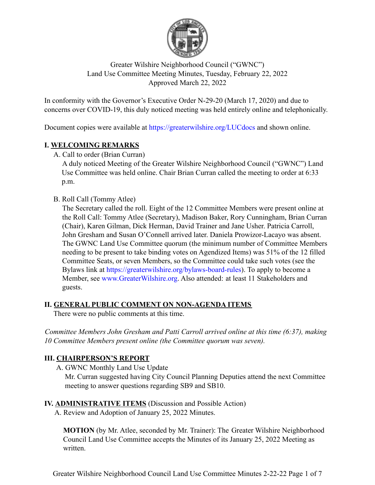

## Greater Wilshire Neighborhood Council ("GWNC") Land Use Committee Meeting Minutes, Tuesday, February 22, 2022 Approved March 22, 2022

In conformity with the Governor's Executive Order N-29-20 (March 17, 2020) and due to concerns over COVID-19, this duly noticed meeting was held entirely online and telephonically.

Document copies were available at https://greaterwilshire.org/LUCdocs and shown online.

## **I. WELCOMING REMARKS**

A. Call to order (Brian Curran)

A duly noticed Meeting of the Greater Wilshire Neighborhood Council ("GWNC") Land Use Committee was held online. Chair Brian Curran called the meeting to order at 6:33 p.m.

B. Roll Call (Tommy Atlee)

The Secretary called the roll. Eight of the 12 Committee Members were present online at the Roll Call: Tommy Atlee (Secretary), Madison Baker, Rory Cunningham, Brian Curran (Chair), Karen Gilman, Dick Herman, David Trainer and Jane Usher. Patricia Carroll, John Gresham and Susan O'Connell arrived later. Daniela Prowizor-Lacayo was absent. The GWNC Land Use Committee quorum (the minimum number of Committee Members needing to be present to take binding votes on Agendized Items) was 51% of the 12 filled Committee Seats, or seven Members, so the Committee could take such votes (see the Bylaws link at https://greaterwilshire.org/bylaws-board-rules). To apply to become a Member, see www.GreaterWilshire.org. Also attended: at least 11 Stakeholders and guests.

# **II. GENERAL PUBLIC COMMENT ON NON-AGENDA ITEMS**

There were no public comments at this time.

*Committee Members John Gresham and Patti Carroll arrived online at this time (6:37), making 10 Committee Members present online (the Committee quorum was seven).*

# **III. CHAIRPERSON'S REPORT**

A. GWNC Monthly Land Use Update

Mr. Curran suggested having City Council Planning Deputies attend the next Committee meeting to answer questions regarding SB9 and SB10.

## **IV. ADMINISTRATIVE ITEMS** (Discussion and Possible Action)

A. Review and Adoption of January 25, 2022 Minutes.

**MOTION** (by Mr. Atlee, seconded by Mr. Trainer): The Greater Wilshire Neighborhood Council Land Use Committee accepts the Minutes of its January 25, 2022 Meeting as written.

Greater Wilshire Neighborhood Council Land Use Committee Minutes 2-22-22 Page 1 of 7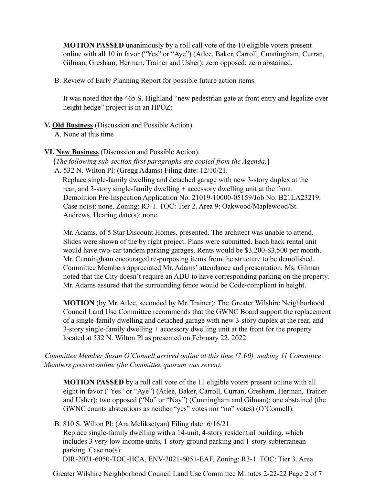**MOTION PASSED** unanimously by a roll call vote of the 10 eligible voters present online with all 10 in favor ("Yes" or "Aye") (Atlee, Baker, Carroll, Cunningham, Curran, Gilman, Gresham, Herman, Trainer and Usher); zero opposed; zero abstained.

B. Review of Early Planning Report for possible future action items.

It was noted that the 465 S. Highland "new pedestrian gate at front entry and legalize over height hedge" project is in an HPOZ:

#### **V. Old Business** (Discussion and Possible Action).

A. None at this time

### **VI. New Business** (Discussion and Possible Action).

[*The following sub-section first paragraphs are copied from the Agenda.*] A. 532 N. Wilton Pl: (Gregg Adams) Filing date: 12/10/21.

Replace single-family dwelling and detached garage with new 3-story duplex at the rear, and 3-story single-family dwelling + accessory dwelling unit at the front. Demolition Pre-Inspection Application No. 21019-10000-05159/Job No. B21LA23219. Case no(s): none. Zoning: R3-1. TOC: Tier 2. Area 9: Oakwood/Maplewood/St. Andrews. Hearing date(s): none.

Mr. Adams, of 5 Star Discount Homes, presented. The architect was unable to attend. Slides were shown of the by right project. Plans were submitted. Each back rental unit would have two-car tandem parking garages. Rents would be \$3,200-\$3,500 per month. Mr. Cunningham encouraged re-purposing items from the structure to be demolished. Committee Members appreciated Mr. Adams' attendance and presentation. Ms. Gilman noted that the City doesn't require an ADU to have corresponding parking on the property. Mr. Adams assured that the surrounding fence would be Code-compliant in height.

**MOTION** (by Mr. Atlee, seconded by Mr. Trainer): The Greater Wilshire Neighborhood Council Land Use Committee recommends that the GWNC Board support the replacement of a single-family dwelling and detached garage with new 3-story duplex at the rear, and 3-story single-family dwelling + accessory dwelling unit at the front for the property located at 532 N. Wilton Pl as presented on February 22, 2022.

*Committee Member Susan O'Connell arrived online at this time (7:00), making 11 Committee Members present online (the Committee quorum was seven).*

**MOTION PASSED** by a roll call vote of the 11 eligible voters present online with all eight in favor ("Yes" or "Aye") (Atlee, Baker, Carroll, Curran, Gresham, Herman, Trainer and Usher); two opposed ("No" or "Nay") (Cunningham and Gilman); one abstained (the GWNC counts abstentions as neither "yes" votes nor "no" votes) (O'Connell).

B. 810 S. Wilton Pl: (Ara Meliksetyan) Filing date: 6/16/21.

Replace single-family dwelling with a 14-unit, 4-story residential building, which includes 3 very low income units, 1-story ground parking and 1-story subterranean parking. Case no(s):

DIR-2021-6050-TOC-HCA, ENV-2021-6051-EAF. Zoning: R3-1. TOC: Tier 3. Area

Greater Wilshire Neighborhood Council Land Use Committee Minutes 2-22-22 Page 2 of 7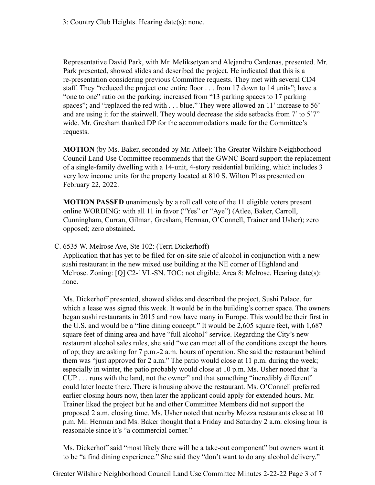3: Country Club Heights. Hearing date(s): none.

Representative David Park, with Mr. Meliksetyan and Alejandro Cardenas, presented. Mr. Park presented, showed slides and described the project. He indicated that this is a re-presentation considering previous Committee requests. They met with several CD4 staff. They "reduced the project one entire floor . . . from 17 down to 14 units"; have a "one to one" ratio on the parking; increased from "13 parking spaces to 17 parking spaces"; and "replaced the red with . . . blue." They were allowed an 11' increase to 56' and are using it for the stairwell. They would decrease the side setbacks from 7' to 5'7" wide. Mr. Gresham thanked DP for the accommodations made for the Committee's requests.

**MOTION** (by Ms. Baker, seconded by Mr. Atlee): The Greater Wilshire Neighborhood Council Land Use Committee recommends that the GWNC Board support the replacement of a single-family dwelling with a 14-unit, 4-story residential building, which includes 3 very low income units for the property located at 810 S. Wilton Pl as presented on February 22, 2022.

**MOTION PASSED** unanimously by a roll call vote of the 11 eligible voters present online WORDING: with all 11 in favor ("Yes" or "Aye") (Atlee, Baker, Carroll, Cunningham, Curran, Gilman, Gresham, Herman, O'Connell, Trainer and Usher); zero opposed; zero abstained.

C. 6535 W. Melrose Ave, Ste 102: (Terri Dickerhoff)

Application that has yet to be filed for on-site sale of alcohol in conjunction with a new sushi restaurant in the new mixed use building at the NE corner of Highland and Melrose. Zoning: [Q] C2-1VL-SN. TOC: not eligible. Area 8: Melrose. Hearing date(s): none.

Ms. Dickerhoff presented, showed slides and described the project, Sushi Palace, for which a lease was signed this week. It would be in the building's corner space. The owners began sushi restaurants in 2015 and now have many in Europe. This would be their first in the U.S. and would be a "fine dining concept." It would be 2,605 square feet, with 1,687 square feet of dining area and have "full alcohol" service. Regarding the City's new restaurant alcohol sales rules, she said "we can meet all of the conditions except the hours of op; they are asking for 7 p.m.-2 a.m. hours of operation. She said the restaurant behind them was "just approved for 2 a.m." The patio would close at 11 p.m. during the week; especially in winter, the patio probably would close at 10 p.m. Ms. Usher noted that "a CUP . . . runs with the land, not the owner" and that something "incredibly different" could later locate there. There is housing above the restaurant. Ms. O'Connell preferred earlier closing hours now, then later the applicant could apply for extended hours. Mr. Trainer liked the project but he and other Committee Members did not support the proposed 2 a.m. closing time. Ms. Usher noted that nearby Mozza restaurants close at 10 p.m. Mr. Herman and Ms. Baker thought that a Friday and Saturday 2 a.m. closing hour is reasonable since it's "a commercial corner."

Ms. Dickerhoff said "most likely there will be a take-out component" but owners want it to be "a find dining experience." She said they "don't want to do any alcohol delivery."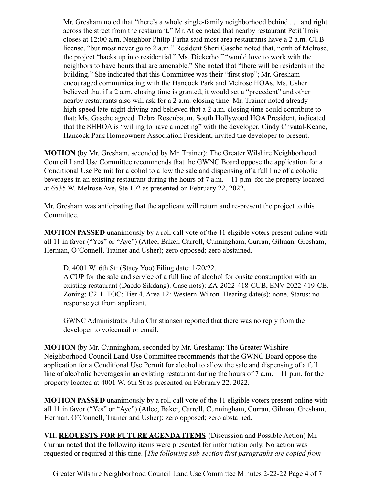Mr. Gresham noted that "there's a whole single-family neighborhood behind . . . and right across the street from the restaurant." Mr. Atlee noted that nearby restaurant Petit Trois closes at 12:00 a.m. Neighbor Philip Farha said most area restaurants have a 2 a.m. CUB license, "but most never go to 2 a.m." Resident Sheri Gasche noted that, north of Melrose, the project "backs up into residential." Ms. Dickerhoff "would love to work with the neighbors to have hours that are amenable." She noted that "there will be residents in the building." She indicated that this Committee was their "first stop"; Mr. Gresham encouraged communicating with the Hancock Park and Melrose HOAs. Ms. Usher believed that if a 2 a.m. closing time is granted, it would set a "precedent" and other nearby restaurants also will ask for a 2 a.m. closing time. Mr. Trainer noted already high-speed late-night driving and believed that a 2 a.m. closing time could contribute to that; Ms. Gasche agreed. Debra Rosenbaum, South Hollywood HOA President, indicated that the SHHOA is "willing to have a meeting" with the developer. Cindy Chvatal-Keane, Hancock Park Homeowners Association President, invited the developer to present.

**MOTION** (by Mr. Gresham, seconded by Mr. Trainer): The Greater Wilshire Neighborhood Council Land Use Committee recommends that the GWNC Board oppose the application for a Conditional Use Permit for alcohol to allow the sale and dispensing of a full line of alcoholic beverages in an existing restaurant during the hours of 7 a.m. – 11 p.m. for the property located at 6535 W. Melrose Ave, Ste 102 as presented on February 22, 2022.

Mr. Gresham was anticipating that the applicant will return and re-present the project to this Committee.

**MOTION PASSED** unanimously by a roll call vote of the 11 eligible voters present online with all 11 in favor ("Yes" or "Aye") (Atlee, Baker, Carroll, Cunningham, Curran, Gilman, Gresham, Herman, O'Connell, Trainer and Usher); zero opposed; zero abstained.

D. 4001 W. 6th St: (Stacy Yoo) Filing date: 1/20/22.

A CUP for the sale and service of a full line of alcohol for onsite consumption with an existing restaurant (Daedo Sikdang). Case no(s): ZA-2022-418-CUB, ENV-2022-419-CE. Zoning: C2-1. TOC: Tier 4. Area 12: Western-Wilton. Hearing date(s): none. Status: no response yet from applicant.

GWNC Administrator Julia Christiansen reported that there was no reply from the developer to voicemail or email.

**MOTION** (by Mr. Cunningham, seconded by Mr. Gresham): The Greater Wilshire Neighborhood Council Land Use Committee recommends that the GWNC Board oppose the application for a Conditional Use Permit for alcohol to allow the sale and dispensing of a full line of alcoholic beverages in an existing restaurant during the hours of 7 a.m. – 11 p.m. for the property located at 4001 W. 6th St as presented on February 22, 2022.

**MOTION PASSED** unanimously by a roll call vote of the 11 eligible voters present online with all 11 in favor ("Yes" or "Aye") (Atlee, Baker, Carroll, Cunningham, Curran, Gilman, Gresham, Herman, O'Connell, Trainer and Usher); zero opposed; zero abstained.

**VII. REQUESTS FOR FUTURE AGENDA ITEMS** (Discussion and Possible Action) Mr. Curran noted that the following items were presented for information only. No action was requested or required at this time. [*The following sub-section first paragraphs are copied from*

Greater Wilshire Neighborhood Council Land Use Committee Minutes 2-22-22 Page 4 of 7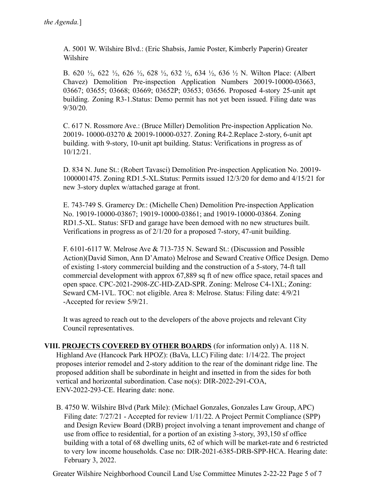A. 5001 W. Wilshire Blvd.: (Eric Shabsis, Jamie Poster, Kimberly Paperin) Greater Wilshire

B. 620 ½, 622 ½, 626 ½, 628 ½, 632 ½, 634 ½, 636 ½ N. Wilton Place: (Albert Chavez) Demolition Pre-inspection Application Numbers 20019-10000-03663, 03667; 03655; 03668; 03669; 03652P; 03653; 03656. Proposed 4-story 25-unit apt building. Zoning R3-1.Status: Demo permit has not yet been issued. Filing date was 9/30/20.

C. 617 N. Rossmore Ave.: (Bruce Miller) Demolition Pre-inspection Application No. 20019- 10000-03270 & 20019-10000-0327. Zoning R4-2.Replace 2-story, 6-unit apt building. with 9-story, 10-unit apt building. Status: Verifications in progress as of 10/12/21.

D. 834 N. June St.: (Robert Tavasci) Demolition Pre-inspection Application No. 20019- 1000001475. Zoning RD1.5-XL.Status: Permits issued 12/3/20 for demo and 4/15/21 for new 3-story duplex w/attached garage at front.

E. 743-749 S. Gramercy Dr.: (Michelle Chen) Demolition Pre-inspection Application No. 19019-10000-03867; 19019-10000-03861; and 19019-10000-03864. Zoning RD1.5-XL. Status: SFD and garage have been demoed with no new structures built. Verifications in progress as of 2/1/20 for a proposed 7-story, 47-unit building.

F. 6101-6117 W. Melrose Ave & 713-735 N. Seward St.: (Discussion and Possible Action)(David Simon, Ann D'Amato) Melrose and Seward Creative Office Design. Demo of existing 1-story commercial building and the construction of a 5-story, 74-ft tall commercial development with approx 67,889 sq ft of new office space, retail spaces and open space. CPC-2021-2908-ZC-HD-ZAD-SPR. Zoning: Melrose C4-1XL; Zoning: Seward CM-1VL. TOC: not eligible. Area 8: Melrose. Status: Filing date: 4/9/21 -Accepted for review 5/9/21.

It was agreed to reach out to the developers of the above projects and relevant City Council representatives.

- **VIII. PROJECTS COVERED BY OTHER BOARDS** (for information only) A. 118 N. Highland Ave (Hancock Park HPOZ): (BaVa, LLC) Filing date: 1/14/22. The project proposes interior remodel and 2-story addition to the rear of the dominant ridge line. The proposed addition shall be subordinate in height and insetted in from the sides for both vertical and horizontal subordination. Case no(s): DIR-2022-291-COA, ENV-2022-293-CE. Hearing date: none.
	- B. 4750 W. Wilshire Blvd (Park Mile): (Michael Gonzales, Gonzales Law Group, APC) Filing date: 7/27/21 - Accepted for review 1/11/22. A Project Permit Compliance (SPP) and Design Review Board (DRB) project involving a tenant improvement and change of use from office to residential, for a portion of an existing 3-story, 393,150 sf office building with a total of 68 dwelling units, 62 of which will be market-rate and 6 restricted to very low income households. Case no: DIR-2021-6385-DRB-SPP-HCA. Hearing date: February 3, 2022.

Greater Wilshire Neighborhood Council Land Use Committee Minutes 2-22-22 Page 5 of 7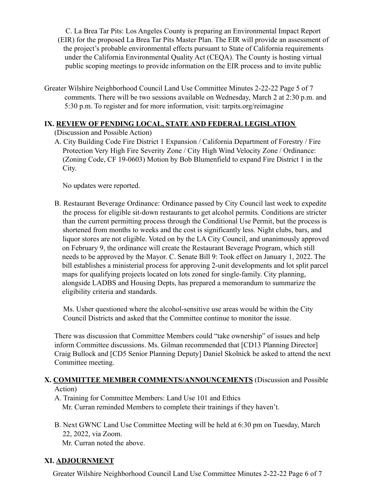C. La Brea Tar Pits: Los Angeles County is preparing an Environmental Impact Report (EIR) for the proposed La Brea Tar Pits Master Plan. The EIR will provide an assessment of the project's probable environmental effects pursuant to State of California requirements under the California Environmental Quality Act (CEQA). The County is hosting virtual public scoping meetings to provide information on the EIR process and to invite public

Greater Wilshire Neighborhood Council Land Use Committee Minutes 2-22-22 Page 5 of 7 comments. There will be two sessions available on Wednesday, March 2 at 2:30 p.m. and 5:30 p.m. To register and for more information, visit: tarpits.org/reimagine

## **IX. REVIEW OF PENDING LOCAL, STATE AND FEDERAL LEGISLATION**

(Discussion and Possible Action)

A. City Building Code Fire District 1 Expansion / California Department of Forestry / Fire Protection Very High Fire Severity Zone / City High Wind Velocity Zone / Ordinance: (Zoning Code, CF 19-0603) Motion by Bob Blumenfield to expand Fire District 1 in the City.

No updates were reported.

B. Restaurant Beverage Ordinance: Ordinance passed by City Council last week to expedite the process for eligible sit-down restaurants to get alcohol permits. Conditions are stricter than the current permitting process through the Conditional Use Permit, but the process is shortened from months to weeks and the cost is significantly less. Night clubs, bars, and liquor stores are not eligible. Voted on by the LA City Council, and unanimously approved on February 9, the ordinance will create the Restaurant Beverage Program, which still needs to be approved by the Mayor. C. Senate Bill 9: Took effect on January 1, 2022. The bill establishes a ministerial process for approving 2-unit developments and lot split parcel maps for qualifying projects located on lots zoned for single-family. City planning, alongside LADBS and Housing Depts, has prepared a memorandum to summarize the eligibility criteria and standards.

Ms. Usher questioned where the alcohol-sensitive use areas would be within the City Council Districts and asked that the Committee continue to monitor the issue.

There was discussion that Committee Members could "take ownership" of issues and help inform Committee discussions. Ms. Gilman recommended that [CD13 Planning Director] Craig Bullock and [CD5 Senior Planning Deputy] Daniel Skolnick be asked to attend the next Committee meeting.

#### **X. COMMITTEE MEMBER COMMENTS/ANNOUNCEMENTS** (Discussion and Possible Action)

- A. Training for Committee Members: Land Use 101 and Ethics Mr. Curran reminded Members to complete their trainings if they haven't.
- B. Next GWNC Land Use Committee Meeting will be held at 6:30 pm on Tuesday, March 22, 2022, via Zoom. Mr. Curran noted the above.

## **XI. ADJOURNMENT**

Greater Wilshire Neighborhood Council Land Use Committee Minutes 2-22-22 Page 6 of 7